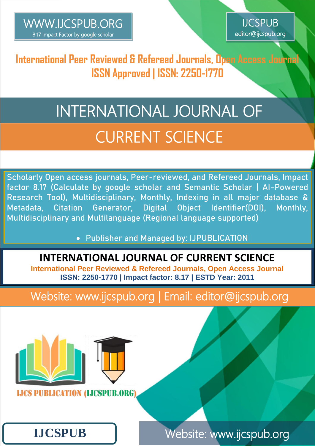$\overline{\phantom{a}}$ 



**International Peer Reviewed & Refereed Journals, Open Access Journal ISSN Approved | ISSN: 2250-1770**

# CURRENT SCIENCE INTERNATIONAL JOURNAL OF

**Scholarly Open access journals, Peer-reviewed, and Refereed Journals, Impact factor 8.17 (Calculate by google scholar and Semantic Scholar | AI-Powered Research Tool), Multidisciplinary, Monthly, Indexing in all major database & Metadata, Citation Generator, Digital Object Identifier(DOI), Monthly, Multidisciplinary and Multilanguage (Regional language supported)**

**Publisher and Managed by: IJPUBLICATION**

#### **INTERNATIONAL JOURNAL OF CURRENT SCIENCE**

**International Peer Reviewed & Refereed Journals, Open Access Journal ISSN: 2250-1770 | Impact factor: 8.17 | ESTD Year: 2011**

Website: www.ijcspub.org | Email: editor@ijcspub.org



**LJCS PUBLICATION (LJCSPUB.ORG** 

## **IJCSPUB**

Website: www.ijcspub.org